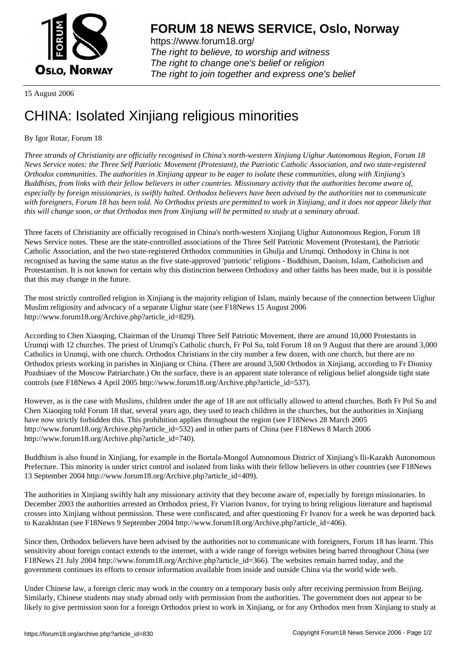

https://www.forum18.org/ The right to believe, to worship and witness The right to change one's belief or religion [The right to join together a](https://www.forum18.org/)nd express one's belief

15 August 2006

## [CHINA: Isolated](https://www.forum18.org) Xinjiang religious minorities

## By Igor Rotar, Forum 18

*Three strands of Christianity are officially recognised in China's north-western Xinjiang Uighur Autonomous Region, Forum 18 News Service notes: the Three Self Patriotic Movement (Protestant), the Patriotic Catholic Association, and two state-registered Orthodox communities. The authorities in Xinjiang appear to be eager to isolate these communities, along with Xinjiang's Buddhists, from links with their fellow believers in other countries. Missionary activity that the authorities become aware of, especially by foreign missionaries, is swiftly halted. Orthodox believers have been advised by the authorities not to communicate with foreigners, Forum 18 has been told. No Orthodox priests are permitted to work in Xinjiang, and it does not appear likely that this will change soon, or that Orthodox men from Xinjiang will be permitted to study at a seminary abroad.*

Three facets of Christianity are officially recognised in China's north-western Xinjiang Uighur Autonomous Region, Forum 18 News Service notes. These are the state-controlled associations of the Three Self Patriotic Movement (Protestant), the Patriotic Catholic Association, and the two state-registered Orthodox communities in Ghulja and Urumqi. Orthodoxy in China is not recognised as having the same status as the five state-approved 'patriotic' religions - Buddhism, Daoism, Islam, Catholicism and Protestantism. It is not known for certain why this distinction between Orthodoxy and other faiths has been made, but it is possible that this may change in the future.

The most strictly controlled religion in Xinjiang is the majority religion of Islam, mainly because of the connection between Uighur Muslim religiosity and advocacy of a separate Uighur state (see F18News 15 August 2006 http://www.forum18.org/Archive.php?article\_id=829).

According to Chen Xiaoqing, Chairman of the Urumqi Three Self Patriotic Movement, there are around 10,000 Protestants in Urumqi with 12 churches. The priest of Urumqi's Catholic church, Fr Pol Su, told Forum 18 on 9 August that there are around 3,000 Catholics in Urumqi, with one church. Orthodox Christians in the city number a few dozen, with one church, but there are no Orthodox priests working in parishes in Xinjiang or China. (There are around 3,500 Orthodox in Xinjiang, according to Fr Dionisy Pozdniaev of the Moscow Patriarchate.) On the surface, there is an apparent state tolerance of religious belief alongside tight state controls (see F18News 4 April 2005 http://www.forum18.org/Archive.php?article\_id=537).

However, as is the case with Muslims, children under the age of 18 are not officially allowed to attend churches. Both Fr Pol Su and Chen Xiaoqing told Forum 18 that, several years ago, they used to teach children in the churches, but the authorities in Xinjiang have now strictly forbidden this. This prohibition applies throughout the region (see F18News 28 March 2005 http://www.forum18.org/Archive.php?article\_id=532) and in other parts of China (see F18News 8 March 2006 http://www.forum18.org/Archive.php?article\_id=740).

Buddhism is also found in Xinjiang, for example in the Bortala-Mongol Autonomous District of Xinjiang's Ili-Kazakh Autonomous Prefecture. This minority is under strict control and isolated from links with their fellow believers in other countries (see F18News 13 September 2004 http://www.forum18.org/Archive.php?article\_id=409).

The authorities in Xinjiang swiftly halt any missionary activity that they become aware of, especially by foreign missionaries. In December 2003 the authorities arrested an Orthodox priest, Fr Viarion Ivanov, for trying to bring religious literature and baptismal crosses into Xinjiang without permission. These were confiscated, and after questioning Fr Ivanov for a week he was deported back to Kazakhstan (see F18News 9 September 2004 http://www.forum18.org/Archive.php?article\_id=406).

Since then, Orthodox believers have been advised by the authorities not to communicate with foreigners, Forum 18 has learnt. This sensitivity about foreign contact extends to the internet, with a wide range of foreign websites being barred throughout China (see F18News 21 July 2004 http://www.forum18.org/Archive.php?article\_id=366). The websites remain barred today, and the government continues its efforts to censor information available from inside and outside China via the world wide web.

Under Chinese law, a foreign cleric may work in the country on a temporary basis only after receiving permission from Beijing. Similarly, Chinese students may study abroad only with permission from the authorities. The government does not appear to be likely to give permission soon for a foreign Orthodox priest to work in Xinjiang, or for any Orthodox men from Xinjiang to study at